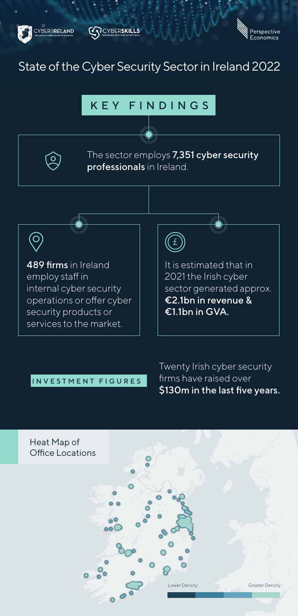





# State of the Cyber Security Sector in Ireland 2022

## KEY FINDINGS

The sector employs 7,351 cyber security professionals in Ireland.



489 firms in Ireland employ staff in internal cyber security operations or offer cyber security products or services to the market.

It is estimated that in 2021 the Irish cyber sector generated approx. €2.1bn in revenue & €1.1bn in GVA.

### INVESTMENT FIGURES

Twenty Irish cyber security firms have raised over \$130m in the last five years.